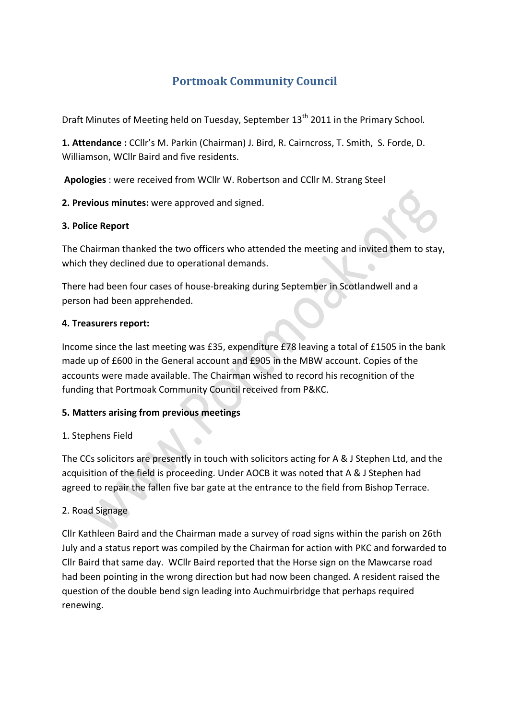# **Portmoak Community Council**

Draft Minutes of Meeting held on Tuesday, September 13<sup>th</sup> 2011 in the Primary School.

**1. Attendance**: CCllr's M. Parkin (Chairman) J. Bird, R. Cairncross, T. Smith, S. Forde, D. Williamson, WCllr Baird and five residents.

Apologies : were received from WCllr W. Robertson and CCllr M. Strang Steel

**2. Previous minutes:** were approved and signed.

#### **3. Police Report**

The Chairman thanked the two officers who attended the meeting and invited them to stay, which they declined due to operational demands.

There had been four cases of house-breaking during September in Scotlandwell and a person had been apprehended.

#### **4. Treasurers report:**

Income since the last meeting was £35, expenditure £78 leaving a total of £1505 in the bank made up of £600 in the General account and £905 in the MBW account. Copies of the accounts were made available. The Chairman wished to record his recognition of the funding that Portmoak Community Council received from P&KC.

#### **5. Matters arising from previous meetings**

#### 1. Stephens Field

The CCs solicitors are presently in touch with solicitors acting for A & J Stephen Ltd, and the acquisition of the field is proceeding. Under AOCB it was noted that A & J Stephen had agreed to repair the fallen five bar gate at the entrance to the field from Bishop Terrace.

#### 2. Road Signage

Cllr Kathleen Baird and the Chairman made a survey of road signs within the parish on 26th July and a status report was compiled by the Chairman for action with PKC and forwarded to Cllr Baird that same day. WCllr Baird reported that the Horse sign on the Mawcarse road had been pointing in the wrong direction but had now been changed. A resident raised the question of the double bend sign leading into Auchmuirbridge that perhaps required renewing.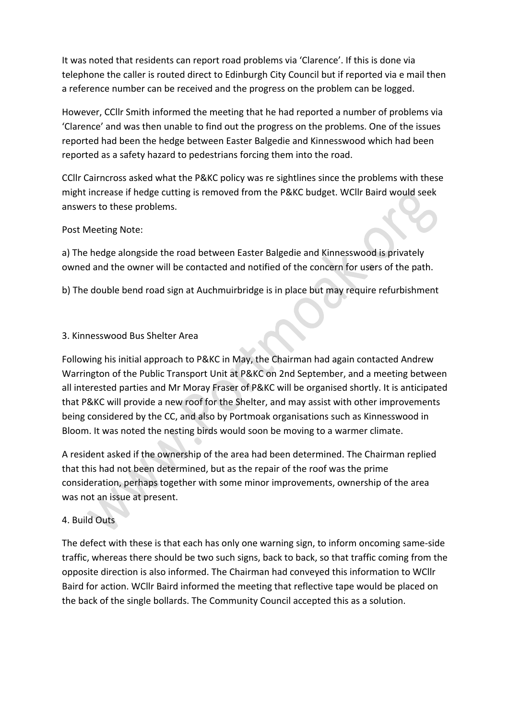It was noted that residents can report road problems via 'Clarence'. If this is done via telephone the caller is routed direct to Edinburgh City Council but if reported via e mail then a reference number can be received and the progress on the problem can be logged.

However, CCIIr Smith informed the meeting that he had reported a number of problems via 'Clarence' and was then unable to find out the progress on the problems. One of the issues reported had been the hedge between Easter Balgedie and Kinnesswood which had been reported as a safety hazard to pedestrians forcing them into the road.

CCIIr Cairncross asked what the P&KC policy was re sightlines since the problems with these might increase if hedge cutting is removed from the P&KC budget. WCllr Baird would seek answers to these problems.

#### Post Meeting Note:

a) The hedge alongside the road between Easter Balgedie and Kinnesswood is privately owned and the owner will be contacted and notified of the concern for users of the path.

b) The double bend road sign at Auchmuirbridge is in place but may require refurbishment

## 3. Kinnesswood Bus Shelter Area

Following his initial approach to P&KC in May, the Chairman had again contacted Andrew Warrington of the Public Transport Unit at P&KC on 2nd September, and a meeting between all interested parties and Mr Moray Fraser of P&KC will be organised shortly. It is anticipated that P&KC will provide a new roof for the Shelter, and may assist with other improvements being considered by the CC, and also by Portmoak organisations such as Kinnesswood in Bloom. It was noted the nesting birds would soon be moving to a warmer climate.

A resident asked if the ownership of the area had been determined. The Chairman replied that this had not been determined, but as the repair of the roof was the prime consideration, perhaps together with some minor improvements, ownership of the area was not an issue at present.

# 4. Build Outs

The defect with these is that each has only one warning sign, to inform oncoming same-side traffic, whereas there should be two such signs, back to back, so that traffic coming from the opposite direction is also informed. The Chairman had conveyed this information to WCllr Baird for action. WCllr Baird informed the meeting that reflective tape would be placed on the back of the single bollards. The Community Council accepted this as a solution.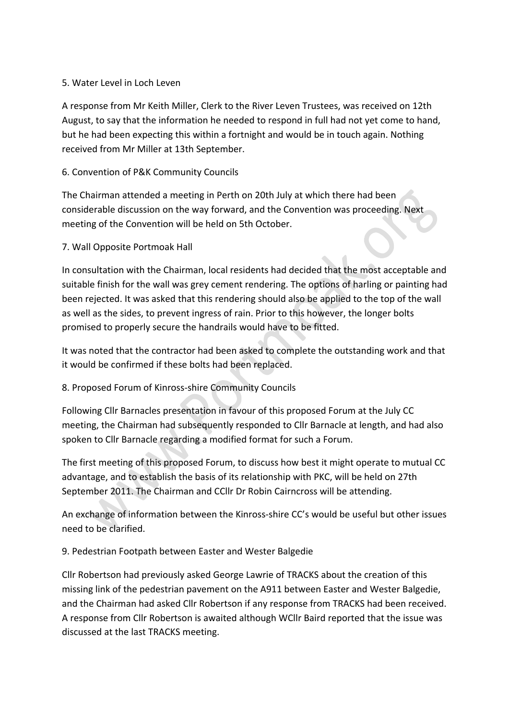#### 5. Water Level in Loch Leven

A response from Mr Keith Miller, Clerk to the River Leven Trustees, was received on 12th August, to say that the information he needed to respond in full had not yet come to hand, but he had been expecting this within a fortnight and would be in touch again. Nothing received from Mr Miller at 13th September.

## 6. Convention of P&K Community Councils

The Chairman attended a meeting in Perth on 20th July at which there had been considerable discussion on the way forward, and the Convention was proceeding. Next meeting of the Convention will be held on 5th October.

#### 7. Wall Opposite Portmoak Hall

In consultation with the Chairman, local residents had decided that the most acceptable and suitable finish for the wall was grey cement rendering. The options of harling or painting had been rejected. It was asked that this rendering should also be applied to the top of the wall as well as the sides, to prevent ingress of rain. Prior to this however, the longer bolts promised to properly secure the handrails would have to be fitted.

It was noted that the contractor had been asked to complete the outstanding work and that it would be confirmed if these bolts had been replaced.

# 8. Proposed Forum of Kinross-shire Community Councils

Following Cllr Barnacles presentation in favour of this proposed Forum at the July CC meeting, the Chairman had subsequently responded to Cllr Barnacle at length, and had also spoken to Cllr Barnacle regarding a modified format for such a Forum.

The first meeting of this proposed Forum, to discuss how best it might operate to mutual CC advantage, and to establish the basis of its relationship with PKC, will be held on 27th September 2011. The Chairman and CCIIr Dr Robin Cairncross will be attending.

An exchange of information between the Kinross-shire CC's would be useful but other issues need to be clarified.

9. Pedestrian Footpath between Easter and Wester Balgedie

Cllr Robertson had previously asked George Lawrie of TRACKS about the creation of this missing link of the pedestrian pavement on the A911 between Easter and Wester Balgedie, and the Chairman had asked Cllr Robertson if any response from TRACKS had been received. A response from Cllr Robertson is awaited although WCllr Baird reported that the issue was discussed at the last TRACKS meeting.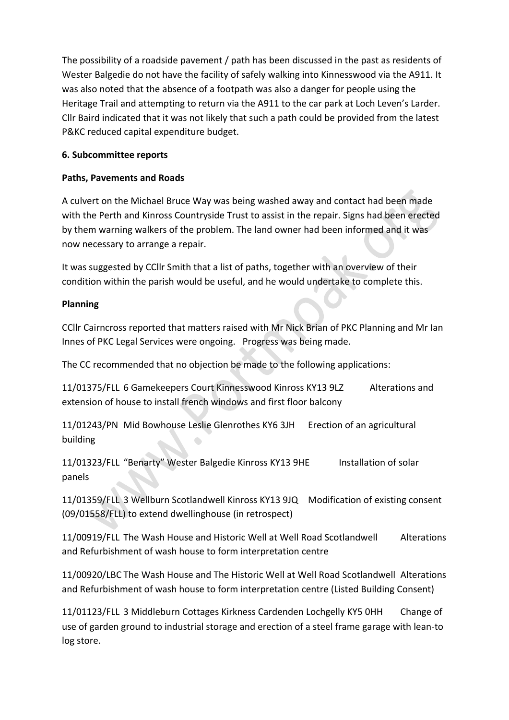The possibility of a roadside pavement / path has been discussed in the past as residents of Wester Balgedie do not have the facility of safely walking into Kinnesswood via the A911. It was also noted that the absence of a footpath was also a danger for people using the Heritage Trail and attempting to return via the A911 to the car park at Loch Leven's Larder. Cllr Baird indicated that it was not likely that such a path could be provided from the latest P&KC reduced capital expenditure budget.

## **6. 
Subcommittee reports**

## **Paths, Pavements and Roads**

A culvert on the Michael Bruce Way was being washed away and contact had been made with the Perth and Kinross Countryside Trust to assist in the repair. Signs had been erected by them warning walkers of the problem. The land owner had been informed and it was now necessary to arrange a repair.

It was suggested by CCllr Smith that a list of paths, together with an overview of their condition within the parish would be useful, and he would undertake to complete this.

## **Planning**

CCIIr Cairncross reported that matters raised with Mr Nick Brian of PKC Planning and Mr Ian Innes of PKC Legal Services were ongoing. Progress was being made.

The CC recommended that no objection be made to the following applications:

11/01375/FLL 6 Gamekeepers Court Kinnesswood Kinross KY13 9LZ Alterations and extension of house to install french windows and first floor balcony

11/01243/PN Mid Bowhouse Leslie Glenrothes KY6 3JH Erection of an agricultural building

11/01323/FLL "Benarty" Wester Balgedie Kinross KY13 9HE Installation of solar panels

11/01359/FLL 3 Wellburn Scotlandwell Kinross KY13 9JQ Modification of existing consent (09/01558/FLL) to extend dwellinghouse (in retrospect)

11/00919/FLL The Wash House and Historic Well at Well Road Scotlandwell Alterations and Refurbishment of wash house to form interpretation centre

11/00920/LBC The Wash House and The Historic Well at Well Road Scotlandwell Alterations and Refurbishment of wash house to form interpretation centre (Listed Building Consent)

11/01123/FLL 3 Middleburn Cottages Kirkness Cardenden Lochgelly KY5 0HH Change of use of garden ground to industrial storage and erection of a steel frame garage with lean-to log store.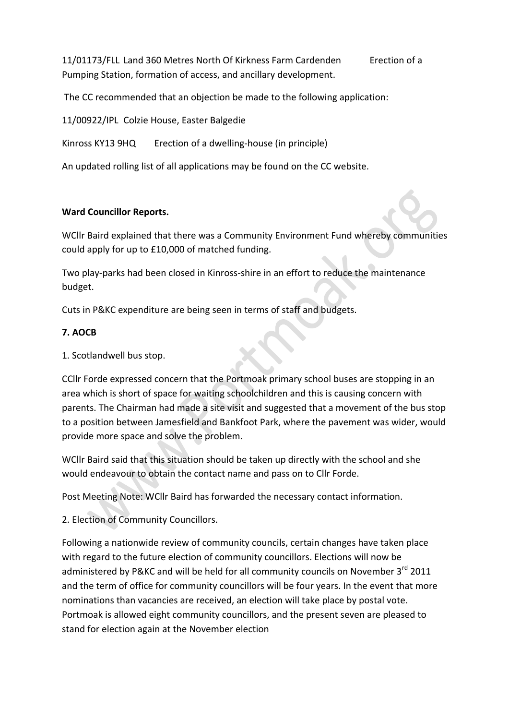11/01173/FLL Land 360 Metres North Of Kirkness Farm Cardenden Erection of a Pumping Station, formation of access, and ancillary development.

The CC recommended that an objection be made to the following application:

11/00922/IPL Colzie House, Easter Balgedie

Kinross KY13 9HQ Erection of a dwelling-house (in principle)

An updated rolling list of all applications may be found on the CC website.

#### **Ward Councillor Reports.**

WCllr Baird explained that there was a Community Environment Fund whereby communities could apply for up to £10,000 of matched funding.

Two play-parks had been closed in Kinross-shire in an effort to reduce the maintenance budget.

Cuts in P&KC expenditure are being seen in terms of staff and budgets.

#### **7. 
AOCB**

1. Scotlandwell bus stop.

CCIIr Forde expressed concern that the Portmoak primary school buses are stopping in an area which is short of space for waiting schoolchildren and this is causing concern with parents. The Chairman had made a site visit and suggested that a movement of the bus stop to a position between Jamesfield and Bankfoot Park, where the pavement was wider, would provide more space and solve the problem.

WCllr Baird said that this situation should be taken up directly with the school and she would endeavour to obtain the contact name and pass on to Cllr Forde.

Post Meeting Note: WCllr Baird has forwarded the necessary contact information.

2. Election of Community Councillors.

Following a nationwide review of community councils, certain changes have taken place with regard to the future election of community councillors. Elections will now be administered by P&KC and will be held for all community councils on November 3<sup>rd</sup> 2011 and the term of office for community councillors will be four years. In the event that more nominations than vacancies are received, an election will take place by postal vote. Portmoak is allowed eight community councillors, and the present seven are pleased to stand for election again at the November election